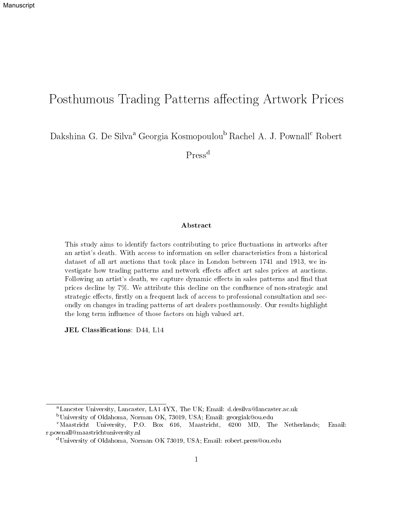# Posthumous Trading Patterns affecting Artwork Prices

Dakshina G. De Silva<sup>a</sup> Georgia Kosmopoulou<sup>b</sup> Rachel A. J. Pownall<sup>c</sup> Robert

Press<sup>d</sup>

#### Abstract

This study aims to identify factors contributing to price fluctuations in artworks after an artist's death. With access to information on seller characteristics from a historical dataset of all art auctions that took place in London between 1741 and 1913, we investigate how trading patterns and network effects affect art sales prices at auctions. Following an artist's death, we capture dynamic effects in sales patterns and find that prices decline by  $7\%$ . We attribute this decline on the confluence of non-strategic and strategic effects, firstly on a frequent lack of access to professional consultation and secondly on changes in trading patterns of art dealers posthumously. Our results highlight the long term influence of those factors on high valued art.

JEL Classifications: D44, L14

<sup>a</sup>Lancster University, Lancaster, LA1 4YX, The UK; Email: d.desilva@lancaster.ac.uk

<sup>b</sup>University of Oklahoma, Norman OK, 73019, USA; Email: georgiak@ou.edu

<sup>c</sup>Maastricht University, P.O. Box 616, Maastricht, 6200 MD, The Netherlands; Email: r.pownall@maastrichtuniversity.nl

<sup>d</sup>University of Oklahoma, Norman OK 73019, USA; Email: robert.press@ou.edu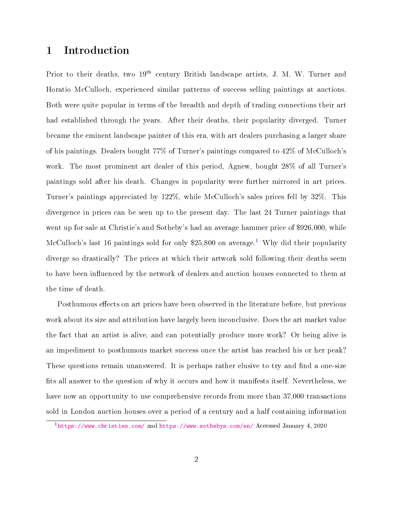## 1 Introduction

Prior to their deaths, two 19<sup>th</sup> century British landscape artists, J. M. W. Turner and Horatio McCulloch, experienced similar patterns of success selling paintings at auctions. Both were quite popular in terms of the breadth and depth of trading connections their art had established through the years. After their deaths, their popularity diverged. Turner became the eminent landscape painter of this era, with art dealers purchasing a larger share of his paintings. Dealers bought 77% of Turner's paintings compared to 42% of McCulloch's work. The most prominent art dealer of this period, Agnew, bought 28% of all Turner's paintings sold after his death. Changes in popularity were further mirrored in art prices. Turner's paintings appreciated by 122%, while McCulloch's sales prices fell by 32%. This divergence in prices can be seen up to the present day. The last 24 Turner paintings that went up for sale at Christie's and Sotheby's had an average hammer price of \$926,000, while McCulloch's last [1](#page-1-0)6 paintings sold for only \$25,800 on average.<sup>1</sup> Why did their popularity diverge so drastically? The prices at which their artwork sold following their deaths seem to have been influenced by the network of dealers and auction houses connected to them at the time of death.

Posthumous effects on art prices have been observed in the literature before, but previous work about its size and attribution have largely been inconclusive. Does the art market value the fact that an artist is alive, and can potentially produce more work? Or being alive is an impediment to posthumous market success once the artist has reached his or her peak? These questions remain unanswered. It is perhaps rather elusive to try and find a one-size fits all answer to the question of why it occurs and how it manifests itself. Nevertheless, we have now an opportunity to use comprehensive records from more than 37,000 transactions sold in London auction houses over a period of a century and a half containing information

<span id="page-1-0"></span><sup>1</sup> <https://www.christies.com/> and <https://www.sothebys.com/en/> Accessed January 4, 2020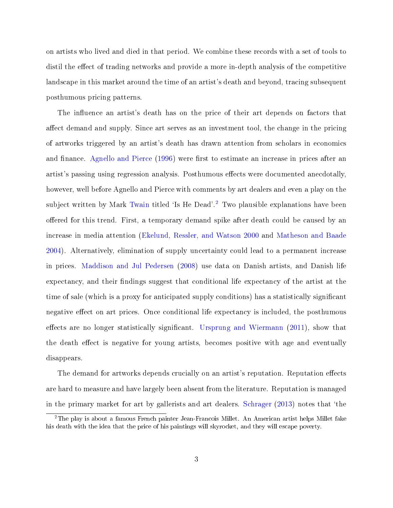on artists who lived and died in that period. We combine these records with a set of tools to distil the effect of trading networks and provide a more in-depth analysis of the competitive landscape in this market around the time of an artist's death and beyond, tracing subsequent posthumous pricing patterns.

The influence an artist's death has on the price of their art depends on factors that affect demand and supply. Since art serves as an investment tool, the change in the pricing of artworks triggered by an artist's death has drawn attention from scholars in economics and finance. [Agnello and Pierce](#page-26-0) [\(1996\)](#page-26-0) were first to estimate an increase in prices after an artist's passing using regression analysis. Posthumous effects were documented anecdotally, however, well before Agnello and Pierce with comments by art dealers and even a play on the subject written by Mark [Twain](#page-27-0) titled 'Is He Dead'.<sup>[2](#page-2-0)</sup> Two plausible explanations have been offered for this trend. First, a temporary demand spike after death could be caused by an increase in media attention [\(Ekelund, Ressler, and Watson](#page-26-1) [2000](#page-26-1) and [Matheson and Baade](#page-27-1) [2004\)](#page-27-1). Alternatively, elimination of supply uncertainty could lead to a permanent increase in prices. [Maddison and Jul Pedersen](#page-27-2) [\(2008\)](#page-27-2) use data on Danish artists, and Danish life expectancy, and their findings suggest that conditional life expectancy of the artist at the time of sale (which is a proxy for anticipated supply conditions) has a statistically signicant negative effect on art prices. Once conditional life expectancy is included, the posthumous effects are no longer statistically significant. [Ursprung and Wiermann](#page-28-0) [\(2011\)](#page-28-0), show that the death effect is negative for young artists, becomes positive with age and eventually disappears.

The demand for artworks depends crucially on an artist's reputation. Reputation effects are hard to measure and have largely been absent from the literature. Reputation is managed in the primary market for art by gallerists and art dealers. [Schrager](#page-27-3)  $(2013)$  notes that 'the

<span id="page-2-0"></span><sup>2</sup>The play is about a famous French painter Jean-Francois Millet. An American artist helps Millet fake his death with the idea that the price of his paintings will skyrocket, and they will escape poverty.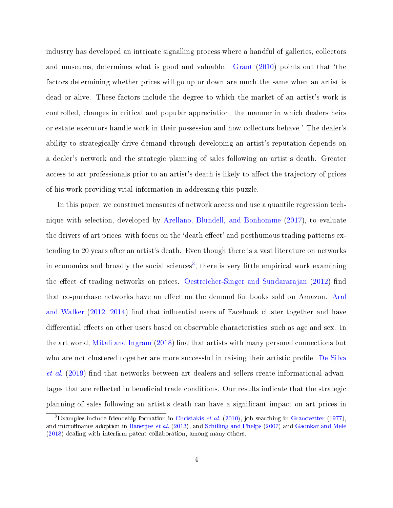industry has developed an intricate signalling process where a handful of galleries, collectors and museums, determines what is good and valuable.' [Grant](#page-27-4) [\(2010\)](#page-27-4) points out that 'the factors determining whether prices will go up or down are much the same when an artist is dead or alive. These factors include the degree to which the market of an artist's work is controlled, changes in critical and popular appreciation, the manner in which dealers heirs or estate executors handle work in their possession and how collectors behave.' The dealer's ability to strategically drive demand through developing an artist's reputation depends on a dealer's network and the strategic planning of sales following an artist's death. Greater access to art professionals prior to an artist's death is likely to affect the trajectory of prices of his work providing vital information in addressing this puzzle.

In this paper, we construct measures of network access and use a quantile regression technique with selection, developed by [Arellano, Blundell, and Bonhomme](#page-26-2) [\(2017\)](#page-26-2), to evaluate the drivers of art prices, with focus on the 'death effect' and posthumous trading patterns extending to 20 years after an artist's death. Even though there is a vast literature on networks in economics and broadly the social sciences<sup>[3](#page-3-0)</sup>, there is very little empirical work examining the effect of trading networks on prices. [Oestreicher-Singer and Sundararajan](#page-27-5) [\(2012\)](#page-27-5) find that co-purchase networks have an effect on the demand for books sold on Amazon. [Aral](#page-26-3) [and Walker](#page-26-3)  $(2012, 2014)$  $(2012, 2014)$  $(2012, 2014)$  find that influential users of Facebook cluster together and have differential effects on other users based on observable characteristics, such as age and sex. In the art world, [Mitali and Ingram](#page-27-6)  $(2018)$  find that artists with many personal connections but who are not clustered together are more successful in raising their artistic profile. [De Silva](#page-26-5)  $et al.$  [\(2019\)](#page-26-5) find that networks between art dealers and sellers create informational advantages that are reflected in beneficial trade conditions. Our results indicate that the strategic planning of sales following an artist's death can have a signicant impact on art prices in

<span id="page-3-0"></span><sup>&</sup>lt;sup>3</sup>Examples include friendship formation in [Christakis](#page-26-6) *et al.* [\(2010\)](#page-26-6), job searching in [Granovetter](#page-27-7) [\(1977\)](#page-27-7). and microfinance adoption in [Banerjee](#page-26-7) *et al.* [\(2013\)](#page-26-7), and [Schilling and Phelps](#page-27-8) [\(2007\)](#page-27-8) and [Gaonkar and Mele](#page-27-9)  $(2018)$  dealing with interfirm patent collaboration, among many others.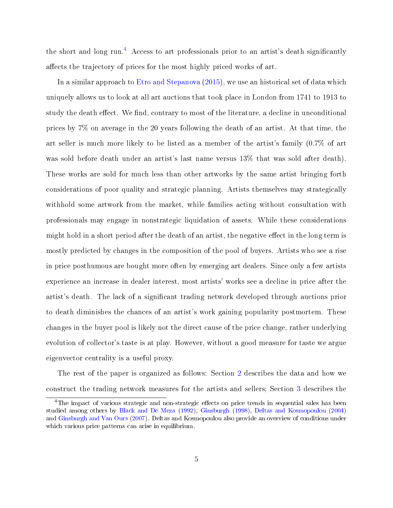the short and long run.<sup>[4](#page-4-0)</sup> Access to art professionals prior to an artist's death significantly affects the trajectory of prices for the most highly priced works of art.

In a similar approach to [Etro and Stepanova](#page-26-8) [\(2015\)](#page-26-8), we use an historical set of data which uniquely allows us to look at all art auctions that took place in London from 1741 to 1913 to study the death effect. We find, contrary to most of the literature, a decline in unconditional prices by 7% on average in the 20 years following the death of an artist. At that time, the art seller is much more likely to be listed as a member of the artist's family (0.7% of art was sold before death under an artist's last name versus 13% that was sold after death). These works are sold for much less than other artworks by the same artist bringing forth considerations of poor quality and strategic planning. Artists themselves may strategically withhold some artwork from the market, while families acting without consultation with professionals may engage in nonstrategic liquidation of assets. While these considerations might hold in a short period after the death of an artist, the negative effect in the long term is mostly predicted by changes in the composition of the pool of buyers. Artists who see a rise in price posthumous are bought more often by emerging art dealers. Since only a few artists experience an increase in dealer interest, most artists' works see a decline in price after the artist's death. The lack of a signicant trading network developed through auctions prior to death diminishes the chances of an artist's work gaining popularity postmortem. These changes in the buyer pool is likely not the direct cause of the price change, rather underlying evolution of collector's taste is at play. However, without a good measure for taste we argue eigenvector centrality is a useful proxy.

The rest of the paper is organized as follows: Section [2](#page-5-0) describes the data and how we construct the trading network measures for the artists and sellers; Section [3](#page-10-0) describes the

<span id="page-4-0"></span><sup>&</sup>lt;sup>4</sup>The impact of various strategic and non-strategic effects on price trends in sequential sales has been studied among others by [Black and De Meza](#page-26-9) [\(1992\)](#page-26-9), [Ginsburgh](#page-27-10) [\(1998\)](#page-27-10), [Deltas and Kosmopoulou](#page-26-10) [\(2004\)](#page-26-10) and [Ginsburgh and Van Ours](#page-27-11) [\(2007\)](#page-27-11). Deltas and Kosmopoulou also provide an overview of conditions under which various price patterns can arise in equilibrium.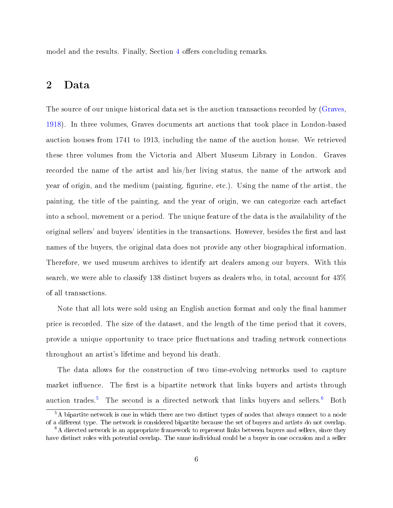model and the results. Finally, Section [4](#page-22-0) offers concluding remarks.

## <span id="page-5-0"></span>2 Data

The source of our unique historical data set is the auction transactions recorded by [\(Graves,](#page-27-12) [1918\)](#page-27-12). In three volumes, Graves documents art auctions that took place in London-based auction houses from 1741 to 1913, including the name of the auction house. We retrieved these three volumes from the Victoria and Albert Museum Library in London. Graves recorded the name of the artist and his/her living status, the name of the artwork and year of origin, and the medium (painting, figurine, etc.). Using the name of the artist, the painting, the title of the painting, and the year of origin, we can categorize each artefact into a school, movement or a period. The unique feature of the data is the availability of the original sellers' and buyers' identities in the transactions. However, besides the first and last names of the buyers, the original data does not provide any other biographical information. Therefore, we used museum archives to identify art dealers among our buyers. With this search, we were able to classify 138 distinct buyers as dealers who, in total, account for 43% of all transactions.

Note that all lots were sold using an English auction format and only the final hammer price is recorded. The size of the dataset, and the length of the time period that it covers, provide a unique opportunity to trace price fluctuations and trading network connections throughout an artist's lifetime and beyond his death.

The data allows for the construction of two time-evolving networks used to capture market influence. The first is a bipartite network that links buyers and artists through auction trades.<sup>[5](#page-5-1)</sup> The second is a directed network that links buyers and sellers.<sup>[6](#page-5-2)</sup> Both

<span id="page-5-1"></span><sup>&</sup>lt;sup>5</sup>A bipartite network is one in which there are two distinct types of nodes that always connect to a node of a different type. The network is considered bipartite because the set of buyers and artists do not overlap.

<span id="page-5-2"></span> $6A$  directed network is an appropriate framework to represent links between buyers and sellers, since they have distinct roles with potential overlap. The same individual could be a buyer in one occasion and a seller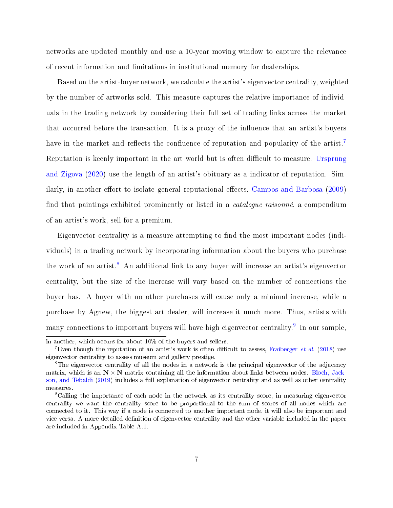networks are updated monthly and use a 10-year moving window to capture the relevance of recent information and limitations in institutional memory for dealerships.

Based on the artist-buyer network, we calculate the artist's eigenvector centrality, weighted by the number of artworks sold. This measure captures the relative importance of individuals in the trading network by considering their full set of trading links across the market that occurred before the transaction. It is a proxy of the influence that an artist's buyers have in the market and reflects the confluence of reputation and popularity of the artist.<sup>[7](#page-6-0)</sup> Reputation is keenly important in the art world but is often difficult to measure. [Ursprung](#page-28-1) [and Zigova](#page-28-1) [\(2020\)](#page-28-1) use the length of an artist's obituary as a indicator of reputation. Sim-ilarly, in another effort to isolate general reputational effects, [Campos and Barbosa](#page-26-11) [\(2009\)](#page-26-11) find that paintings exhibited prominently or listed in a *catalogue raisonné*, a compendium of an artist's work, sell for a premium.

Eigenvector centrality is a measure attempting to find the most important nodes (individuals) in a trading network by incorporating information about the buyers who purchase the work of an artist.<sup>[8](#page-6-1)</sup> An additional link to any buyer will increase an artist's eigenvector centrality, but the size of the increase will vary based on the number of connections the buyer has. A buyer with no other purchases will cause only a minimal increase, while a purchase by Agnew, the biggest art dealer, will increase it much more. Thus, artists with many connections to important buyers will have high eigenvector centrality. $^9$  $^9$  In our sample,

in another, which occurs for about 10% of the buyers and sellers.

<span id="page-6-0"></span><sup>&</sup>lt;sup>7</sup>Even though the reputation of an artist's work is often difficult to assess, [Fraiberger](#page-26-12) *et al.* [\(2018\)](#page-26-12) use eigenvector centrality to assess museum and gallery prestige.

<span id="page-6-1"></span><sup>&</sup>lt;sup>8</sup>The eigenvector centrality of all the nodes in a network is the principal eigenvector of the adjacency matrix, which is an  $N \times N$  matrix containing all the information about links between nodes. [Bloch, Jack](#page-26-13)[son, and Tebaldi](#page-26-13) [\(2019\)](#page-26-13) includes a full explanation of eigenvector centrality and as well as other centrality measures.

<span id="page-6-2"></span><sup>&</sup>lt;sup>9</sup>Calling the importance of each node in the network as its centrality score, in measuring eigenvector centrality we want the centrality score to be proportional to the sum of scores of all nodes which are connected to it. This way if a node is connected to another important node, it will also be important and vice versa. A more detailed definition of eigenvector centrality and the other variable included in the paper are included in Appendix Table A.1.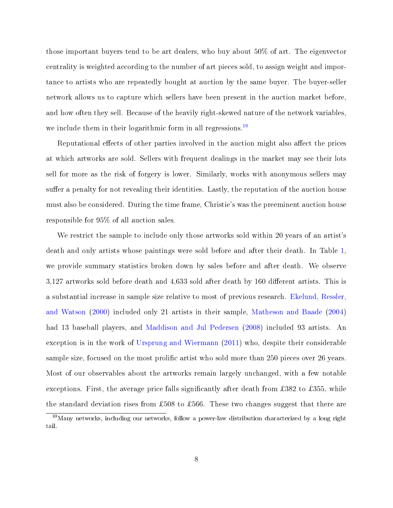those important buyers tend to be art dealers, who buy about 50% of art. The eigenvector centrality is weighted according to the number of art pieces sold, to assign weight and importance to artists who are repeatedly bought at auction by the same buyer. The buyer-seller network allows us to capture which sellers have been present in the auction market before, and how often they sell. Because of the heavily right-skewed nature of the network variables, we include them in their logarithmic form in all regressions.<sup>[10](#page-7-0)</sup>

Reputational effects of other parties involved in the auction might also affect the prices at which artworks are sold. Sellers with frequent dealings in the market may see their lots sell for more as the risk of forgery is lower. Similarly, works with anonymous sellers may suffer a penalty for not revealing their identities. Lastly, the reputation of the auction house must also be considered. During the time frame, Christie's was the preeminent auction house responsible for 95% of all auction sales.

We restrict the sample to include only those artworks sold within 20 years of an artist's death and only artists whose paintings were sold before and after their death. In Table [1,](#page-9-0) we provide summary statistics broken down by sales before and after death. We observe  $3,127$  artworks sold before death and  $4,633$  sold after death by 160 different artists. This is a substantial increase in sample size relative to most of previous research. [Ekelund, Ressler,](#page-26-1) [and Watson](#page-26-1) [\(2000\)](#page-26-1) included only 21 artists in their sample, [Matheson and Baade](#page-27-1) [\(2004\)](#page-27-1) had 13 baseball players, and [Maddison and Jul Pedersen](#page-27-2) [\(2008\)](#page-27-2) included 93 artists. An exception is in the work of [Ursprung and Wiermann](#page-28-0) [\(2011\)](#page-28-0) who, despite their considerable sample size, focused on the most prolific artist who sold more than 250 pieces over 26 years. Most of our observables about the artworks remain largely unchanged, with a few notable exceptions. First, the average price falls significantly after death from £382 to £355, while the standard deviation rises from £508 to £566. These two changes suggest that there are

<span id="page-7-0"></span><sup>&</sup>lt;sup>10</sup>Many networks, including our networks, follow a power-law distribution characterized by a long right tail.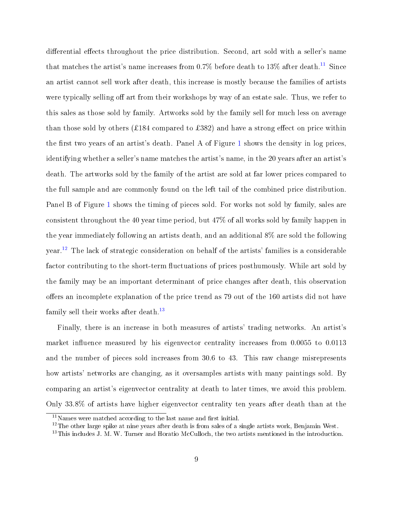differential effects throughout the price distribution. Second, art sold with a seller's name that matches the artist's name increases from 0.7% before death to 13% after death.<sup>[11](#page-8-0)</sup> Since an artist cannot sell work after death, this increase is mostly because the families of artists were typically selling off art from their workshops by way of an estate sale. Thus, we refer to this sales as those sold by family. Artworks sold by the family sell for much less on average than those sold by others (£184 compared to £382) and have a strong effect on price within the first two years of an artist's death. Panel A of Figure [1](#page-9-1) shows the density in log prices, identifying whether a seller's name matches the artist's name, in the 20 years after an artist's death. The artworks sold by the family of the artist are sold at far lower prices compared to the full sample and are commonly found on the left tail of the combined price distribution. Panel B of Figure [1](#page-9-1) shows the timing of pieces sold. For works not sold by family, sales are consistent throughout the 40 year time period, but 47% of all works sold by family happen in the year immediately following an artists death, and an additional 8% are sold the following year.[12](#page-8-1) The lack of strategic consideration on behalf of the artists' families is a considerable factor contributing to the short-term fluctuations of prices posthumously. While art sold by the family may be an important determinant of price changes after death, this observation offers an incomplete explanation of the price trend as 79 out of the 160 artists did not have family sell their works after death.<sup>[13](#page-8-2)</sup>

Finally, there is an increase in both measures of artists' trading networks. An artist's market influence measured by his eigenvector centrality increases from  $0.0055$  to  $0.0113$ and the number of pieces sold increases from 30.6 to 43. This raw change misrepresents how artists' networks are changing, as it oversamples artists with many paintings sold. By comparing an artist's eigenvector centrality at death to later times, we avoid this problem. Only 33.8% of artists have higher eigenvector centrality ten years after death than at the

<span id="page-8-0"></span> $11$ Names were matched according to the last name and first initial.

<span id="page-8-1"></span><sup>&</sup>lt;sup>12</sup>The other large spike at nine years after death is from sales of a single artists work, Benjamin West.

<span id="page-8-2"></span> $13$ This includes J. M. W. Turner and Horatio McCulloch, the two artists mentioned in the introduction.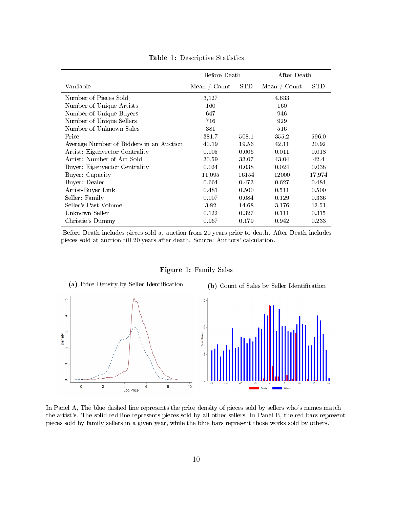<span id="page-9-0"></span>

|                                         | Before Death |            | After Death    |            |
|-----------------------------------------|--------------|------------|----------------|------------|
| Varriable                               | Mean / Count | <b>STD</b> | Mean / $Count$ | <b>STD</b> |
| Number of Pieces Sold                   | 3,127        |            | 4,633          |            |
| Number of Unique Artists                | 160          |            | 160            |            |
| Number of Unique Buyers                 | 647          |            | 946            |            |
| Number of Unique Sellers                | 716          |            | 929            |            |
| Number of Unknown Sales                 | 381          |            | 516            |            |
| Price                                   | 381.7        | 508.1      | 355.2          | 596.0      |
| Average Number of Bidders in an Auction | 40.19        | 19.56      | 42.11          | 20.92      |
| Artist: Eigenvector Centrality          | 0.005        | 0.006      | 0.011          | 0.018      |
| Artist: Number of Art Sold              | 30.59        | 33.07      | 43.04          | 42.4       |
| Buyer: Eigenvector Centrality           | 0.024        | 0.038      | 0.024          | 0.038      |
| Buyer: Capacity                         | 11,095       | 16154      | 12000          | 17,974     |
| Buyer: Dealer                           | 0.664        | 0.473      | 0.627          | 0.484      |
| Artist-Buyer Link                       | 0.481        | 0.500      | 0.511          | 0.500      |
| Seller: Family                          | 0.007        | 0.084      | 0.129          | 0.336      |
| Seller's Past Volume                    | 3.82         | 14.68      | 3.176          | 12.51      |
| Unknown Seller                          | 0.122        | 0.327      | 0.111          | 0.315      |
| Christie's Dummy                        | 0.967        | 0.179      | 0.942          | 0.233      |

Table 1: Descriptive Statistics

Before Death includes pieces sold at auction from 20 years prior to death. After Death includes pieces sold at auction till 20 years after death. Source: Authors' calculation.

Figure 1: Family Sales

<span id="page-9-1"></span>

In Panel A, The blue dashed line represents the price density of pieces sold by sellers who's names match the artist's. The solid red line represents pieces sold by all other sellers. In Panel B, the red bars represent pieces sold by family sellers in a given year, while the blue bars represent those works sold by others.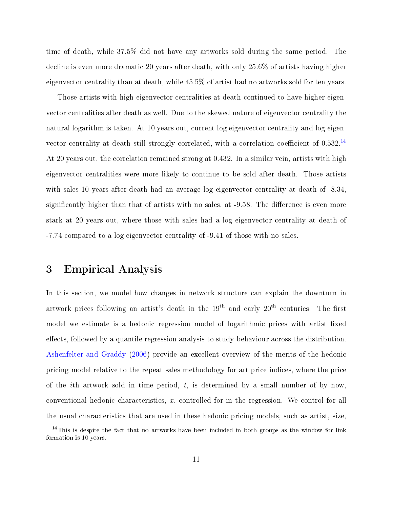time of death, while 37.5% did not have any artworks sold during the same period. The decline is even more dramatic 20 years after death, with only 25.6% of artists having higher eigenvector centrality than at death, while 45.5% of artist had no artworks sold for ten years.

Those artists with high eigenvector centralities at death continued to have higher eigenvector centralities after death as well. Due to the skewed nature of eigenvector centrality the natural logarithm is taken. At 10 years out, current log eigenvector centrality and log eigenvector centrality at death still strongly correlated, with a correlation coefficient of  $0.532<sup>14</sup>$  $0.532<sup>14</sup>$  $0.532<sup>14</sup>$ At 20 years out, the correlation remained strong at 0.432. In a similar vein, artists with high eigenvector centralities were more likely to continue to be sold after death. Those artists with sales 10 years after death had an average log eigenvector centrality at death of -8.34, significantly higher than that of artists with no sales, at -9.58. The difference is even more stark at 20 years out, where those with sales had a log eigenvector centrality at death of -7.74 compared to a log eigenvector centrality of -9.41 of those with no sales.

### <span id="page-10-0"></span>3 Empirical Analysis

In this section, we model how changes in network structure can explain the downturn in artwork prices following an artist's death in the  $19<sup>th</sup>$  and early  $20<sup>th</sup>$  centuries. The first model we estimate is a hedonic regression model of logarithmic prices with artist fixed effects, followed by a quantile regression analysis to study behaviour across the distribution. [Ashenfelter and Graddy](#page-26-14) [\(2006\)](#page-26-14) provide an excellent overview of the merits of the hedonic pricing model relative to the repeat sales methodology for art price indices, where the price of the *i*th artwork sold in time period,  $t$ , is determined by a small number of by now. conventional hedonic characteristics, x, controlled for in the regression. We control for all the usual characteristics that are used in these hedonic pricing models, such as artist, size,

<span id="page-10-1"></span> $14$ This is despite the fact that no artworks have been included in both groups as the window for link formation is 10 years.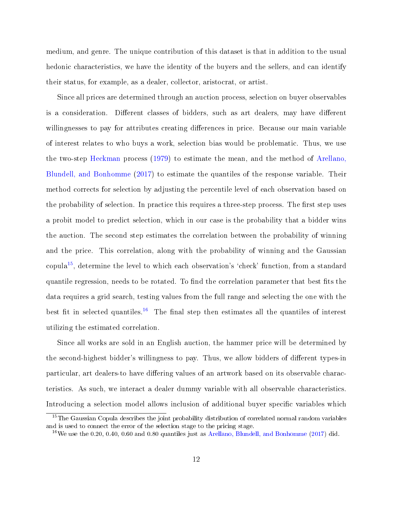medium, and genre. The unique contribution of this dataset is that in addition to the usual hedonic characteristics, we have the identity of the buyers and the sellers, and can identify their status, for example, as a dealer, collector, aristocrat, or artist.

Since all prices are determined through an auction process, selection on buyer observables is a consideration. Different classes of bidders, such as art dealers, may have different willingnesses to pay for attributes creating differences in price. Because our main variable of interest relates to who buys a work, selection bias would be problematic. Thus, we use the two-step [Heckman](#page-27-13) process [\(1979\)](#page-27-13) to estimate the mean, and the method of [Arellano,](#page-26-2) [Blundell, and Bonhomme](#page-26-2) [\(2017\)](#page-26-2) to estimate the quantiles of the response variable. Their method corrects for selection by adjusting the percentile level of each observation based on the probability of selection. In practice this requires a three-step process. The first step uses a probit model to predict selection, which in our case is the probability that a bidder wins the auction. The second step estimates the correlation between the probability of winning and the price. This correlation, along with the probability of winning and the Gaussian copula<sup>[15](#page-11-0)</sup>, determine the level to which each observation's 'check' function, from a standard quantile regression, needs to be rotated. To find the correlation parameter that best fits the data requires a grid search, testing values from the full range and selecting the one with the best fit in selected quantiles.<sup>[16](#page-11-1)</sup> The final step then estimates all the quantiles of interest utilizing the estimated correlation.

Since all works are sold in an English auction, the hammer price will be determined by the second-highest bidder's willingness to pay. Thus, we allow bidders of different types-in particular, art dealers-to have differing values of an artwork based on its observable characteristics. As such, we interact a dealer dummy variable with all observable characteristics. Introducing a selection model allows inclusion of additional buyer specific variables which

<span id="page-11-0"></span><sup>&</sup>lt;sup>15</sup>The Gaussian Copula describes the joint probability distribution of correlated normal random variables and is used to connect the error of the selection stage to the pricing stage.

<span id="page-11-1"></span><sup>&</sup>lt;sup>16</sup>We use the 0.20, 0.40, 0.60 and 0.80 quantiles just as [Arellano, Blundell, and Bonhomme](#page-26-2) [\(2017\)](#page-26-2) did.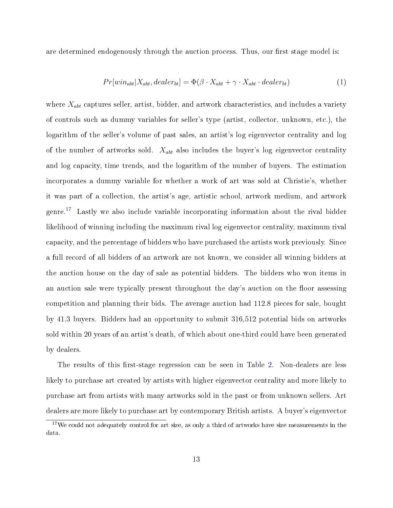are determined endogenously through the auction process. Thus, our first stage model is:

$$
Pr[win_{abt} | X_{abt}, dealer_{bt}] = \Phi(\beta \cdot X_{abt} + \gamma \cdot X_{abt} \cdot dealer_{bt})
$$
\n(1)

where  $X_{abt}$  captures seller, artist, bidder, and artwork characteristics, and includes a variety of controls such as dummy variables for seller's type (artist, collector, unknown, etc.), the logarithm of the seller's volume of past sales, an artist's log eigenvector centrality and log of the number of artworks sold.  $X_{abt}$  also includes the buyer's log eigenvector centrality and log capacity, time trends, and the logarithm of the number of buyers. The estimation incorporates a dummy variable for whether a work of art was sold at Christie's, whether it was part of a collection, the artist's age, artistic school, artwork medium, and artwork genre.[17](#page-12-0) Lastly we also include variable incorporating information about the rival bidder likelihood of winning including the maximum rival log eigenvector centrality, maximum rival capacity, and the percentage of bidders who have purchased the artists work previously. Since a full record of all bidders of an artwork are not known, we consider all winning bidders at the auction house on the day of sale as potential bidders. The bidders who won items in an auction sale were typically present throughout the day's auction on the floor assessing competition and planning their bids. The average auction had 112.8 pieces for sale, bought by 41.3 buyers. Bidders had an opportunity to submit 316,512 potential bids on artworks sold within 20 years of an artist's death, of which about one-third could have been generated by dealers.

The results of this first-stage regression can be seen in Table [2.](#page-14-0) Non-dealers are less likely to purchase art created by artists with higher eigenvector centrality and more likely to purchase art from artists with many artworks sold in the past or from unknown sellers. Art dealers are more likely to purchase art by contemporary British artists. A buyer's eigenvector

<span id="page-12-0"></span> $17\,\text{We could not adequately control for art size, as only a third of artworks have size measurements in the$ data.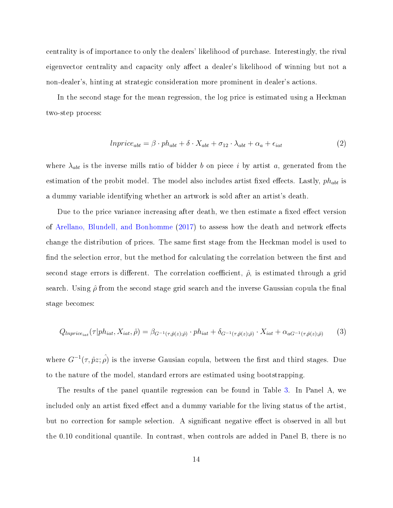centrality is of importance to only the dealers' likelihood of purchase. Interestingly, the rival eigenvector centrality and capacity only affect a dealer's likelihood of winning but not a non-dealer's, hinting at strategic consideration more prominent in dealer's actions.

In the second stage for the mean regression, the log price is estimated using a Heckman two-step process:

$$
In price_{abt} = \beta \cdot ph_{abt} + \delta \cdot X_{abt} + \sigma_{12} \cdot \lambda_{abt} + \alpha_a + \epsilon_{iat} \tag{2}
$$

where  $\lambda_{\text{abt}}$  is the inverse mills ratio of bidder b on piece i by artist a, generated from the estimation of the probit model. The model also includes artist fixed effects. Lastly,  $ph_{\omega bt}$  is a dummy variable identifying whether an artwork is sold after an artist's death.

Due to the price variance increasing after death, we then estimate a fixed effect version of [Arellano, Blundell, and Bonhomme](#page-26-2)  $(2017)$  to assess how the death and network effects change the distribution of prices. The same first stage from the Heckman model is used to find the selection error, but the method for calculating the correlation between the first and second stage errors is different. The correlation coefficient,  $\hat{\rho}$ , is estimated through a grid search. Using  $\hat{\rho}$  from the second stage grid search and the inverse Gaussian copula the final stage becomes:

$$
Q_{Inprice_{iat}}(\tau|ph_{iat}, X_{iat}, \hat{\rho}) = \beta_{G^{-1}(\tau, \hat{p}(z); \hat{\rho})} \cdot ph_{iat} + \delta_{G^{-1}(\tau, \hat{p}(z); \hat{\rho})} \cdot X_{iat} + \alpha_{aG^{-1}(\tau, \hat{p}(z); \hat{\rho})}
$$
(3)

where  $G^{-1}(\tau, \hat{p}z; \hat{\rho})$  is the inverse Gausian copula, between the first and third stages. Due to the nature of the model, standard errors are estimated using bootstrapping.

The results of the panel quantile regression can be found in Table [3.](#page-16-0) In Panel A, we included only an artist fixed effect and a dummy variable for the living status of the artist. but no correction for sample selection. A significant negative effect is observed in all but the 0.10 conditional quantile. In contrast, when controls are added in Panel B, there is no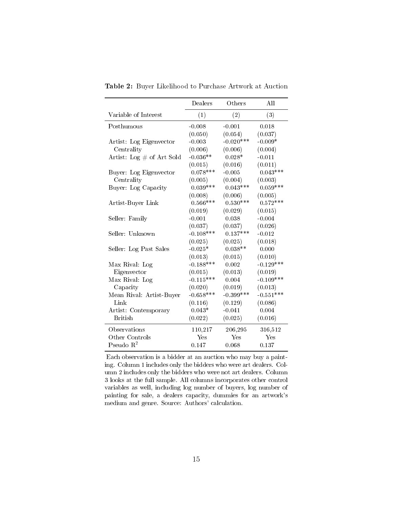|                              | Dealers     | Others      | All         |  |
|------------------------------|-------------|-------------|-------------|--|
| Variable of Interest         | (1)         | (2)         | (3)         |  |
| Posthumous                   | $-0.008$    | $-0.001$    | 0.018       |  |
|                              | (0.050)     | (0.054)     | (0.037)     |  |
| Artist: Log Eigenvector      | $-0.003$    | $-0.020***$ | $-0.009*$   |  |
| Centrality                   | (0.006)     | (0.006)     | (0.004)     |  |
| Artist: Log $\#$ of Art Sold | $-0.036**$  | $0.028*$    | $-0.011$    |  |
|                              | (0.015)     | (0.016)     | (0.011)     |  |
| Buyer: Log Eigenvector       | $0.078***$  | $-0.005$    | $0.043***$  |  |
| Centrality                   | (0.005)     | (0.004)     | (0.003)     |  |
| Buyer: Log Capacity          | $0.039***$  | $0.043***$  | $0.059***$  |  |
|                              | (0.008)     | (0.006)     | (0.005)     |  |
| Artist-Buyer Link            | $0.566***$  | $0.530***$  | $0.572***$  |  |
|                              | (0.019)     | (0.029)     | (0.015)     |  |
| Seller Family                | $-0.001$    | 0.038       | $-0.004$    |  |
|                              | (0.037)     | (0.037)     | (0.026)     |  |
| Seller: Unknown              | $-0.108***$ | $0.137***$  | $-0.012$    |  |
|                              | (0.025)     | (0.025)     | (0.018)     |  |
| Seller: Log Past Sales       | $-0.025*$   | $0.038**$   | 0.000       |  |
|                              | (0.013)     | (0.015)     | (0.010)     |  |
| Max Rival: Log               | $-0.188***$ | 0.002       | $-0.129***$ |  |
| Eigenvector                  | (0.015)     | (0.013)     | (0.019)     |  |
| Max Rival: Log               | $-0.115***$ | 0.004       | $-0.109***$ |  |
| Capacity                     | (0.020)     | (0.019)     | (0.013)     |  |
| Mean Rival: Artist-Buyer     | $-0.658***$ | $-0.399***$ | $-0.551***$ |  |
| Link                         | (0.116)     | (0.129)     | (0.086)     |  |
| Artist: Contemporary         | $0.043*$    | $-0.041$    | 0.004       |  |
| <b>British</b>               | (0.022)     | (0.025)     | (0.016)     |  |
| Observations                 | 110,217     | 206,295     | 316,512     |  |
| Other Controls               | Yes         | Yes         | Yes         |  |
| Pseudo $\mathbb{R}^2$        | 0.147       | 0.068       | 0.137       |  |

<span id="page-14-0"></span>Table 2: Buyer Likelihood to Purchase Artwork at Auction

Each observation is a bidder at an auction who may buy a painting. Column 1 includes only the bidders who were art dealers. Column 2 includes only the bidders who were not art dealers. Column 3 looks at the full sample. All columns incorporates other control variables as well, including log number of buyers, log number of painting for sale, a dealers capacity, dummies for an artwork's medium and genre. Source: Authors' calculation.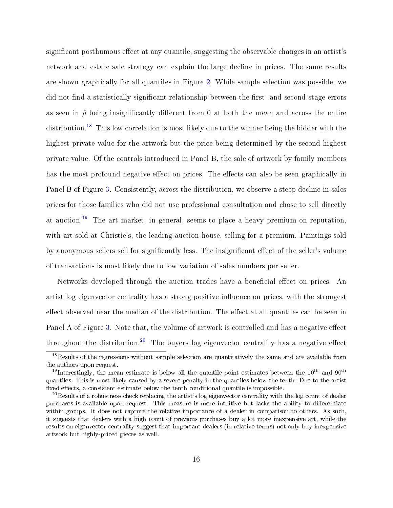significant posthumous effect at any quantile, suggesting the observable changes in an artist's network and estate sale strategy can explain the large decline in prices. The same results are shown graphically for all quantiles in Figure [2.](#page-17-0) While sample selection was possible, we did not find a statistically significant relationship between the first- and second-stage errors as seen in  $\hat{\rho}$  being insignificantly different from 0 at both the mean and across the entire distribution.<sup>[18](#page-15-0)</sup> This low correlation is most likely due to the winner being the bidder with the highest private value for the artwork but the price being determined by the second-highest private value. Of the controls introduced in Panel B, the sale of artwork by family members has the most profound negative effect on prices. The effects can also be seen graphically in Panel B of Figure [3.](#page-17-1) Consistently, across the distribution, we observe a steep decline in sales prices for those families who did not use professional consultation and chose to sell directly at auction.[19](#page-15-1) The art market, in general, seems to place a heavy premium on reputation, with art sold at Christie's, the leading auction house, selling for a premium. Paintings sold by anonymous sellers sell for significantly less. The insignificant effect of the seller's volume of transactions is most likely due to low variation of sales numbers per seller.

Networks developed through the auction trades have a beneficial effect on prices. An artist log eigenvector centrality has a strong positive influence on prices, with the strongest effect observed near the median of the distribution. The effect at all quantiles can be seen in Panel A of Figure [3.](#page-17-1) Note that, the volume of artwork is controlled and has a negative effect throughout the distribution.<sup>[20](#page-15-2)</sup> The buyers log eigenvector centrality has a negative effect

<span id="page-15-0"></span><sup>&</sup>lt;sup>18</sup>Results of the regressions without sample selection are quantitatively the same and are available from the authors upon request.

<span id="page-15-1"></span><sup>&</sup>lt;sup>19</sup>Interestingly, the mean estimate is below all the quantile point estimates between the  $10^{th}$  and  $90^{th}$ quantiles. This is most likely caused by a severe penalty in the quantiles below the tenth. Due to the artist fixed effects, a consistent estimate below the tenth conditional quantile is impossible.

<span id="page-15-2"></span> $^{20}$ Results of a robustness check replacing the artist's log eigenvector centrality with the log count of dealer purchases is available upon request. This measure is more intuitive but lacks the ability to differentiate within groups. It does not capture the relative importance of a dealer in comparison to others. As such, it suggests that dealers with a high count of previous purchases buy a lot more inexpensive art, while the results on eigenvector centrality suggest that important dealers (in relative terms) not only buy inexpensive artwork but highly-priced pieces as well.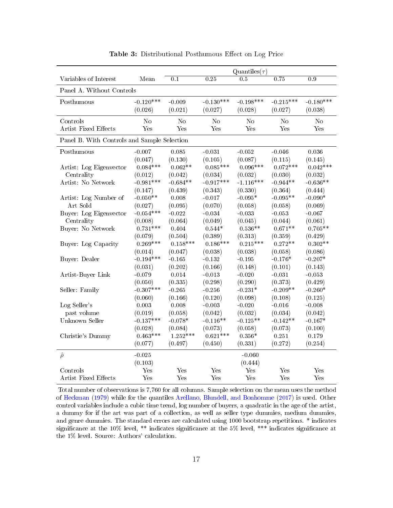<span id="page-16-0"></span>

|                                             |             | Quantiles $(\tau)$ |                   |              |             |                  |
|---------------------------------------------|-------------|--------------------|-------------------|--------------|-------------|------------------|
| Variables of Interest                       | Mean        | 0.1                | $\overline{0.25}$ | 0.5          | 0.75        | $\overline{0.9}$ |
| Panel A. Without Controls                   |             |                    |                   |              |             |                  |
| Posthumous                                  | $-0.120***$ | $-0.009$           | $-0.130***$       | $-0.198***$  | $-0.215***$ | $-0.180***$      |
|                                             | (0.026)     | (0.021)            | (0.027)           | (0.028)      | (0.027)     | (0.038)          |
| Controls                                    | No          | N <sub>0</sub>     | Nο                | No           | $\rm No$    | N <sub>0</sub>   |
| <b>Artist Fixed Effects</b>                 | Yes         | Yes                | Yes               | $_{\rm Yes}$ | Yes         | Yes              |
| Panel B. With Controls and Sample Selection |             |                    |                   |              |             |                  |
| Posthumous                                  | $-0.007$    | 0.085              | $-0.031$          | $-0.052$     | $-0.046$    | 0.036            |
|                                             | (0.047)     | (0.130)            | (0.105)           | (0.087)      | (0.115)     | (0.145)          |
| Artist: Log Eigenvector                     | $0.084***$  | $0.062**$          | $0.085***$        | $0.096***$   | $0.072***$  | $0.042***$       |
| Centrality                                  | (0.012)     | (0.042)            | (0.034)           | (0.032)      | (0.030)     | (0.032)          |
| Artist: No Network                          | $-0.981***$ | $-0.684**$         | $-0.917***$       | $-1.116***$  | $-0.944**$  | $-0.636**$       |
|                                             | (0.147)     | (0.439)            | (0.343)           | (0.330)      | (0.364)     | (0.444)          |
| Artist: Log Number of                       | $-0.050**$  | 0.008              | $-0.017$          | $-0.095*$    | $-0.095**$  | $-0.090*$        |
| Art Sold                                    | (0.027)     | (0.095)            | (0.070)           | (0.058)      | (0.058)     | (0.069)          |
| Buyer: Log Eigenvector                      | $-0.054***$ | $-0.022$           | $-0.034$          | $-0.033$     | $-0.053$    | $-0.067$         |
| Centrality                                  | (0.008)     | (0.064)            | (0.049)           | (0.045)      | (0.044)     | (0.061)          |
| Buyer: No Network                           | $0.731***$  | 0.404              | $0.544*$          | $0.536**$    | $0.671**$   | $0.705**$        |
|                                             | (0.079)     | (0.504)            | (0.389)           | (0.313)      | (0.359)     | (0.429)          |
| Buyer: Log Capacity                         | $0.269***$  | $0.158***$         | $0.186***$        | $0.215***$   | $0.272**$   | $0.302**$        |
|                                             | (0.014)     | (0.047)            | (0.038)           | (0.038)      | (0.058)     | (0.086)          |
| Buyer: Dealer                               | $-0.194***$ | $-0.165$           | $-0.132$          | $-0.195$     | $-0.176*$   | $-0.207*$        |
|                                             | (0.031)     | (0.202)            | (0.166)           | (0.148)      | (0.101)     | (0.143)          |
| Artist-Buyer Link                           | $-0.079$    | 0.014              | $-0.013$          | $-0.020$     | $-0.031$    | $-0.053$         |
|                                             | (0.050)     | (0.335)            | (0.298)           | (0.290)      | (0.373)     | (0.429)          |
| Seller: Family                              | $-0.307***$ | $-0.265$           | $-0.256$          | $-0.231*$    | $-0.209**$  | $-0.260*$        |
|                                             | (0.060)     | (0.166)            | (0.120)           | (0.098)      | (0.108)     | (0.125)          |
| Log Seller's                                | 0.003       | 0.008              | $-0.003$          | $-0.020$     | $-0.016$    | $-0.008$         |
| past volume                                 | (0.019)     | (0.058)            | (0.042)           | (0.032)      | (0.034)     | (0.042)          |
| Unknown Seller                              | $-0.137***$ | $-0.078*$          | $-0.116**$        | $-0.125**$   | $-0.142**$  | $-0.167*$        |
|                                             | (0.028)     | (0.084)            | (0.073)           | (0.058)      | (0.073)     | (0.100)          |
| Christie's Dummy                            | $0.463***$  | $1.252***$         | $0.621***$        | $0.356*$     | 0.251       | 0.179            |
|                                             | (0.077)     | (0.497)            | (0.450)           | (0.331)      | (0.272)     | (0.254)          |
| $\hat{\rho}$                                | $-0.025$    |                    |                   | $-0.060$     |             |                  |
|                                             | (0.103)     |                    |                   | (0.444)      |             |                  |
| Controls                                    | Yes         | Yes                | Yes               | Yes          | Yes         | Yes              |
| Artist Fixed Effects                        | Yes         | Yes                | Yes               | Yes          | Yes         | Yes              |

Table 3: Distributional Posthumous Effect on Log Price

Total number of observations is 7,760 for all columns. Sample selection on the mean uses the method of [Heckman](#page-27-13) [\(1979\)](#page-27-13) while for the quantiles [Arellano, Blundell, and Bonhomme](#page-26-2) [\(2017\)](#page-26-2) is used. Other control variables include a cubic time trend, log number of buyers, a quadratic in the age of the artist, a dummy for if the art was part of a collection, as well as seller type dummies, medium dummies, and genre dummies. The standard errors are calculated using 1000 bootstrap repetitions. \* indicates significance at the 10% level, \*\* indicates significance at the 5% level, \*\*\* indicates significance at the 1% level. Source: Authors' calculation.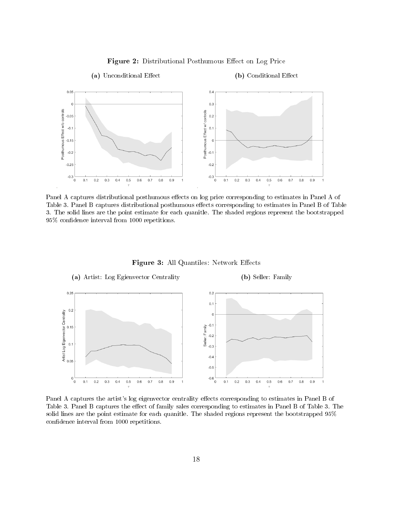<span id="page-17-0"></span>

Figure 2: Distributional Posthumous Effect on Log Price

Panel A captures distributional posthumous effects on log price corresponding to estimates in Panel A of Table 3. Panel B captures distributional posthumous effects corresponding to estimates in Panel B of Table 3. The solid lines are the point estimate for each quanitle. The shaded regions represent the bootstrapped 95% condence interval from 1000 repetitions.

<span id="page-17-1"></span>

Panel A captures the artist's log eigenvector centrality effects corresponding to estimates in Panel B of Table 3. Panel B captures the effect of family sales corresponding to estimates in Panel B of Table 3. The solid lines are the point estimate for each quanitle. The shaded regions represent the bootstrapped 95% confidence interval from 1000 repetitions.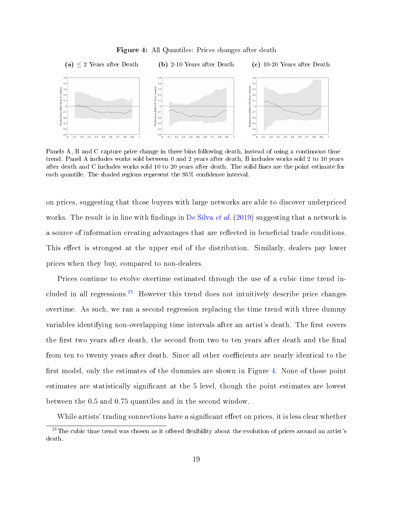<span id="page-18-1"></span>

Figure 4: All Quantiles: Prices changes after death

Panels A, B and C capture price change in three bins following death, instead of using a continuous time trend. Panel A includes works sold between 0 and 2 years after death, B includes works sold 2 to 10 years after death and C includes works sold 10 to 20 years after death. The solid lines are the point estimate for each quantile. The shaded regions represent the  $95\%$  confidence interval.

on prices, suggesting that those buyers with large networks are able to discover underpriced works. The result is in line with findings in [De Silva](#page-26-5) *et al.* [\(2019\)](#page-26-5) suggesting that a network is a source of information creating advantages that are reflected in beneficial trade conditions. This effect is strongest at the upper end of the distribution. Similarly, dealers pay lower prices when they buy, compared to non-dealers.

Prices continue to evolve overtime estimated through the use of a cubic time trend in-cluded in all regressions.<sup>[21](#page-18-0)</sup> However this trend does not intuitively describe price changes overtime. As such, we ran a second regression replacing the time trend with three dummy variables identifying non-overlapping time intervals after an artist's death. The first covers the first two years after death, the second from two to ten years after death and the final from ten to twenty years after death. Since all other coefficients are nearly identical to the first model, only the estimates of the dummies are shown in Figure [4.](#page-18-1) None of those point estimates are statistically signicant at the 5 level, though the point estimates are lowest between the 0.5 and 0.75 quantiles and in the second window.

<span id="page-18-0"></span>While artists' trading connections have a significant effect on prices, it is less clear whether

 $21$ The cubic time trend was chosen as it offered flexibility about the evolution of prices around an artist's death.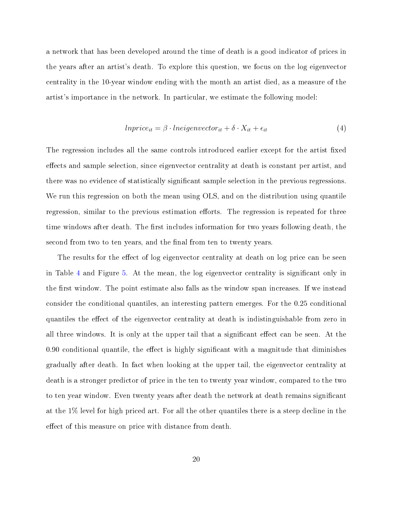a network that has been developed around the time of death is a good indicator of prices in the years after an artist's death. To explore this question, we focus on the log eigenvector centrality in the 10-year window ending with the month an artist died, as a measure of the artist's importance in the network. In particular, we estimate the following model:

$$
In price_{it} = \beta \cdot In eigenvector_{it} + \delta \cdot X_{it} + \epsilon_{it}
$$
\n
$$
\tag{4}
$$

The regression includes all the same controls introduced earlier except for the artist fixed effects and sample selection, since eigenvector centrality at death is constant per artist, and there was no evidence of statistically significant sample selection in the previous regressions. We run this regression on both the mean using OLS, and on the distribution using quantile regression, similar to the previous estimation efforts. The regression is repeated for three time windows after death. The first includes information for two years following death, the second from two to ten years, and the final from ten to twenty years.

The results for the effect of log eigenvector centrality at death on log price can be seen in Table [4](#page-20-0) and Figure [5.](#page-21-0) At the mean, the log eigenvector centrality is signicant only in the first window. The point estimate also falls as the window span increases. If we instead consider the conditional quantiles, an interesting pattern emerges. For the 0.25 conditional quantiles the effect of the eigenvector centrality at death is indistinguishable from zero in all three windows. It is only at the upper tail that a significant effect can be seen. At the  $0.90$  conditional quantile, the effect is highly significant with a magnitude that diminishes gradually after death. In fact when looking at the upper tail, the eigenvector centrality at death is a stronger predictor of price in the ten to twenty year window, compared to the two to ten year window. Even twenty years after death the network at death remains signicant at the 1% level for high priced art. For all the other quantiles there is a steep decline in the effect of this measure on price with distance from death.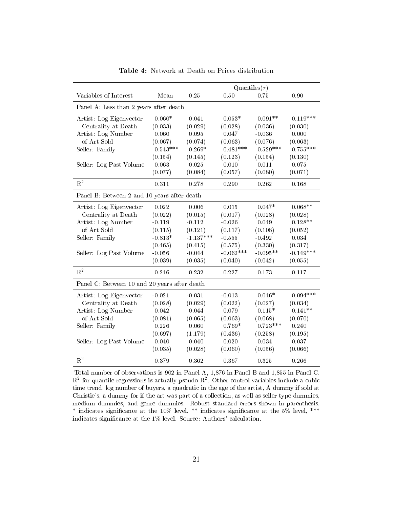<span id="page-20-0"></span>

|                                              |             | Quantiles $(\tau)$ |             |             |             |  |
|----------------------------------------------|-------------|--------------------|-------------|-------------|-------------|--|
| Variables of Interest                        | Mean        | 0.25               | 0.50        | 0.75        | 0.90        |  |
| Panel A: Less than 2 years after death       |             |                    |             |             |             |  |
| Artist: Log Eigenvector                      | $0.060*$    | 0.041              | $0.053*$    | $0.091**$   | $0.119***$  |  |
| Centrality at Death                          | (0.033)     | (0.029)            | (0.028)     | (0.036)     | (0.030)     |  |
| Artist: Log Number                           | 0.060       | 0.095              | 0.047       | $-0.036$    | 0.000       |  |
| of Art Sold                                  | (0.067)     | (0.074)            | (0.063)     | (0.076)     | (0.063)     |  |
| Seller: Family                               | $-0.543***$ | $-0.269*$          | $-0.481***$ | $-0.529***$ | $-0.755***$ |  |
|                                              | (0.154)     | (0.145)            | (0.123)     | (0.154)     | (0.130)     |  |
| Seller: Log Past Volume                      | $-0.063$    | $-0.025$           | $-0.010$    | 0.011       | $-0.075$    |  |
|                                              | (0.077)     | (0.084)            | (0.057)     | (0.080)     | (0.071)     |  |
| $R^2$                                        | 0.311       | 0.278              | 0.290       | 0.262       | 0.168       |  |
| Panel B: Between 2 and 10 years after death  |             |                    |             |             |             |  |
| Artist: Log Eigenvector                      | 0.022       | 0.006              | 0.015       | $0.047*$    | $0.068**$   |  |
| Centrality at Death                          | (0.022)     | (0.015)            | (0.017)     | (0.028)     | (0.028)     |  |
| Artist: Log Number                           | $-0.119$    | $-0.112$           | $-0.026$    | 0.049       | $0.128**$   |  |
| of Art Sold                                  | (0.115)     | (0.121)            | (0.117)     | (0.108)     | (0.052)     |  |
| Seller: Family                               | $-0.813*$   | $-1.137***$        | $-0.555$    | $-0.492$    | 0.034       |  |
|                                              | (0.465)     | (0.415)            | (0.575)     | (0.330)     | (0.317)     |  |
| Seller: Log Past Volume                      | $-0.056$    | $-0.044$           | $-0.062***$ | $-0.095**$  | $-0.149***$ |  |
|                                              | (0.039)     | (0.035)            | (0.040)     | (0.042)     | (0.055)     |  |
| $\mathbf{R}^2$                               | 0.246       | 0.232              | 0.227       | 0.173       | 0.117       |  |
| Panel C. Between 10 and 20 years after death |             |                    |             |             |             |  |
| Artist: Log Eigenvector                      | $-0.021$    | $-0.031$           | $-0.013$    | $0.046*$    | $0.094***$  |  |
| Centrality at Death                          | (0.028)     | (0.029)            | (0.022)     | (0.027)     | (0.034)     |  |
| Artist: Log Number                           | 0.042       | 0.044              | 0.079       | $0.115*$    | $0.141**$   |  |
| of Art Sold                                  | (0.081)     | (0.065)            | (0.063)     | (0.068)     | (0.070)     |  |
| Seller: Family                               | 0.226       | 0.060              | $0.769*$    | $0.723***$  | 0.240       |  |
|                                              | (0.697)     | (1.179)            | (0.436)     | (0.258)     | (0.195)     |  |
| Seller: Log Past Volume                      | $-0.040$    | $-0.040$           | $-0.020$    | $-0.034$    | $-0.037$    |  |
|                                              | (0.035)     | (0.028)            | (0.060)     | (0.056)     | (0.066)     |  |
| $\mathbf{R}^2$                               | 0.379       | 0.362              | 0.367       | 0.325       | 0.266       |  |

Table 4: Network at Death on Prices distribution

Total number of observations is 902 in Panel A, 1,876 in Panel B and 1,855 in Panel C.  $R^2$  for quantile regressions is actually pseudo  $R^2$ . Other control variables include a cubic time trend, log number of buyers, a quadratic in the age of the artist, A dummy if sold at Christie's, a dummy for if the art was part of a collection, as well as seller type dummies, medium dummies, and genre dummies. Robust standard errors shown in parenthesis. \* indicates signicance at the 10% level, \*\* indicates signicance at the 5% level, \*\*\* indicates significance at the  $1\%$  level. Source: Authors' calculation.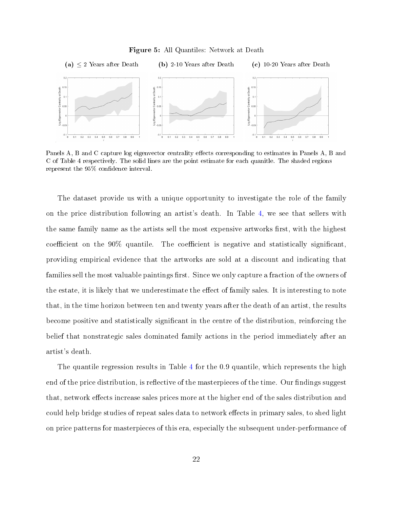#### Figure 5: All Quantiles: Network at Death

<span id="page-21-0"></span>

Panels A, B and C capture log eigenvector centrality effects corresponding to estimates in Panels A, B and C of Table 4 respectively. The solid lines are the point estimate for each quanitle. The shaded regions represent the 95% confidence interval.

The dataset provide us with a unique opportunity to investigate the role of the family on the price distribution following an artist's death. In Table [4,](#page-20-0) we see that sellers with the same family name as the artists sell the most expensive artworks first, with the highest coefficient on the  $90\%$  quantile. The coefficient is negative and statistically significant, providing empirical evidence that the artworks are sold at a discount and indicating that families sell the most valuable paintings first. Since we only capture a fraction of the owners of the estate, it is likely that we underestimate the effect of family sales. It is interesting to note that, in the time horizon between ten and twenty years after the death of an artist, the results become positive and statistically significant in the centre of the distribution, reinforcing the belief that nonstrategic sales dominated family actions in the period immediately after an artist's death.

The quantile regression results in Table [4](#page-20-0) for the 0.9 quantile, which represents the high end of the price distribution, is reflective of the masterpieces of the time. Our findings suggest that, network effects increase sales prices more at the higher end of the sales distribution and could help bridge studies of repeat sales data to network effects in primary sales, to shed light on price patterns for masterpieces of this era, especially the subsequent under-performance of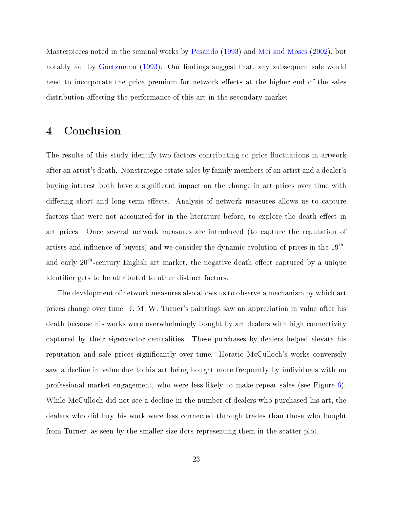Masterpieces noted in the seminal works by [Pesando](#page-27-14) [\(1993\)](#page-27-14) and [Mei and Moses](#page-27-15) [\(2002\)](#page-27-15), but notably not by [Goetzmann](#page-27-16) [\(1993\)](#page-27-16). Our findings suggest that, any subsequent sale would need to incorporate the price premium for network effects at the higher end of the sales distribution affecting the performance of this art in the secondary market.

## <span id="page-22-0"></span>4 Conclusion

The results of this study identify two factors contributing to price fluctuations in artwork after an artist's death. Nonstrategic estate sales by family members of an artist and a dealer's buying interest both have a significant impact on the change in art prices over time with differing short and long term effects. Analysis of network measures allows us to capture factors that were not accounted for in the literature before, to explore the death effect in art prices. Once several network measures are introduced (to capture the reputation of artists and influence of buyers) and we consider the dynamic evolution of prices in the  $19^{\rm th}$ and early  $20^{th}$ -century English art market, the negative death effect captured by a unique identifier gets to be attributed to other distinct factors.

The development of network measures also allows us to observe a mechanism by which art prices change over time. J. M. W. Turner's paintings saw an appreciation in value after his death because his works were overwhelmingly bought by art dealers with high connectivity captured by their eigenvector centralities. These purchases by dealers helped elevate his reputation and sale prices significantly over time. Horatio McCulloch's works conversely saw a decline in value due to his art being bought more frequently by individuals with no professional market engagement, who were less likely to make repeat sales (see Figure [6\)](#page-23-0). While McCulloch did not see a decline in the number of dealers who purchased his art, the dealers who did buy his work were less connected through trades than those who bought from Turner, as seen by the smaller size dots representing them in the scatter plot.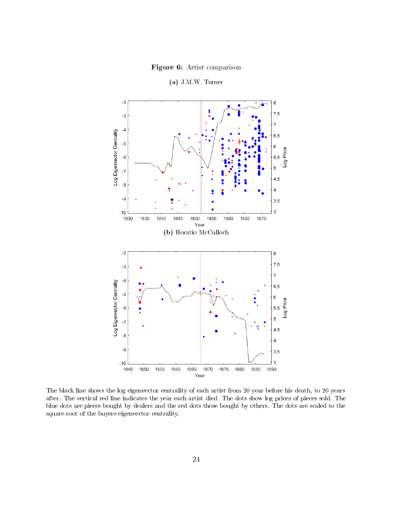Figure 6: Artist comparison

<span id="page-23-0"></span>

(a) J.M.W. Turner

The black line shows the log eigenvector centrality of each artist from 20 year before his death, to 20 years after. The vertical red line indicates the year each artist died. The dots show log prices of pieces sold. The blue dots are pieces bought by dealers and the red dots those bought by others. The dots are scaled to the square root of the buyers eigenvector centrality.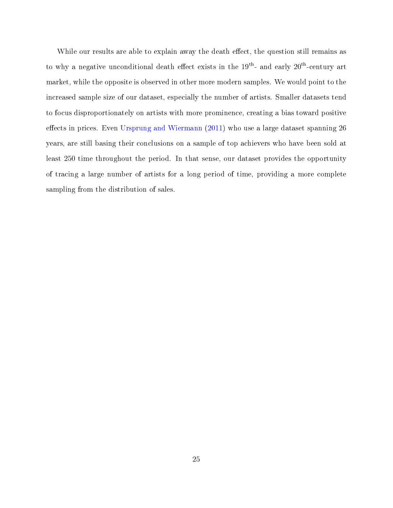While our results are able to explain away the death effect, the question still remains as to why a negative unconditional death effect exists in the  $19^{th}$ - and early  $20^{th}$ -century art market, while the opposite is observed in other more modern samples. We would point to the increased sample size of our dataset, especially the number of artists. Smaller datasets tend to focus disproportionately on artists with more prominence, creating a bias toward positive effects in prices. Even [Ursprung and Wiermann](#page-28-0)  $(2011)$  who use a large dataset spanning 26 years, are still basing their conclusions on a sample of top achievers who have been sold at least 250 time throughout the period. In that sense, our dataset provides the opportunity of tracing a large number of artists for a long period of time, providing a more complete sampling from the distribution of sales.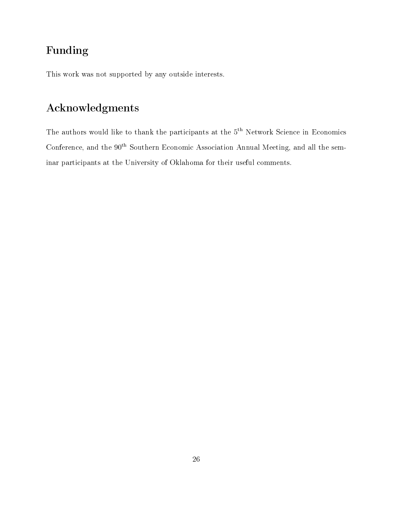## Funding

This work was not supported by any outside interests.

# Acknowledgments

The authors would like to thank the participants at the 5<sup>th</sup> Network Science in Economics Conference, and the  $90<sup>th</sup>$  Southern Economic Association Annual Meeting, and all the seminar participants at the University of Oklahoma for their useful comments.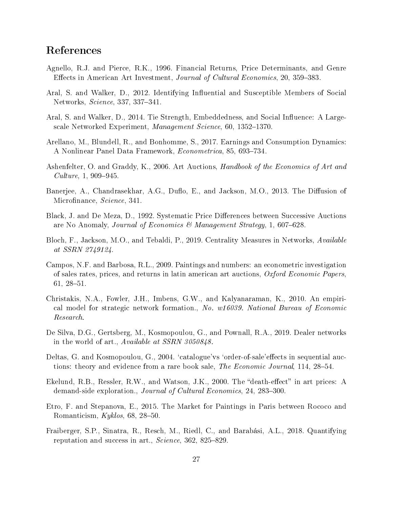## References

- <span id="page-26-0"></span>Agnello, R.J. and Pierce, R.K., 1996. Financial Returns, Price Determinants, and Genre Effects in American Art Investment, Journal of Cultural Economics, 20, 359–383.
- <span id="page-26-3"></span>Aral, S. and Walker, D., 2012. Identifying Influential and Susceptible Members of Social Networks, Science, 337, 337-341.
- <span id="page-26-4"></span>Aral, S. and Walker, D., 2014. Tie Strength, Embeddedness, and Social Influence: A Largescale Networked Experiment, Management Science, 60, 1352-1370.
- <span id="page-26-2"></span>Arellano, M., Blundell, R., and Bonhomme, S., 2017. Earnings and Consumption Dynamics: A Nonlinear Panel Data Framework, Econometrica, 85, 693-734.
- <span id="page-26-14"></span>Ashenfelter, O. and Graddy, K., 2006. Art Auctions, *Handbook of the Economics of Art and*  $Culture, 1, 909-945.$
- <span id="page-26-7"></span>Banerjee, A., Chandrasekhar, A.G., Duflo, E., and Jackson, M.O., 2013. The Diffusion of Microfinance, Science, 341.
- <span id="page-26-9"></span>Black, J. and De Meza, D., 1992. Systematic Price Differences between Successive Auctions are No Anomaly, Journal of Economics & Management Strategy, 1, 607–628.
- <span id="page-26-13"></span>Bloch, F., Jackson, M.O., and Tebaldi, P., 2019. Centrality Measures in Networks, Available at SSRN 2749124.
- <span id="page-26-11"></span>Campos, N.F. and Barbosa, R.L., 2009. Paintings and numbers: an econometric investigation of sales rates, prices, and returns in latin american art auctions, Oxford Economic Papers, 61, 28-51.
- <span id="page-26-6"></span>Christakis, N.A., Fowler, J.H., Imbens, G.W., and Kalyanaraman, K., 2010. An empirical model for strategic network formation., No. w16039. National Bureau of Economic Research.
- <span id="page-26-5"></span>De Silva, D.G., Gertsberg, M., Kosmopoulou, G., and Pownall, R.A., 2019. Dealer networks in the world of art., Available at SSRN 3050848.
- <span id="page-26-10"></span>Deltas, G. and Kosmopoulou, G., 2004. 'catalogue'vs 'order-of-sale' effects in sequential auctions: theory and evidence from a rare book sale, The Economic Journal, 114, 28-54.
- <span id="page-26-1"></span>Ekelund, R.B., Ressler, R.W., and Watson, J.K., 2000. The "death-effect" in art prices: A demand-side exploration., Journal of Cultural Economics, 24, 283-300.
- <span id="page-26-8"></span>Etro, F. and Stepanova, E., 2015. The Market for Paintings in Paris between Rococo and Romanticism,  $Kyklos, 68, 28-50$ .
- <span id="page-26-12"></span>Fraiberger, S.P., Sinatra, R., Resch, M., Riedl, C., and Barabási, A.L., 2018. Quantifying reputation and success in art.,  $Science$ ,  $362$ ,  $825-829$ .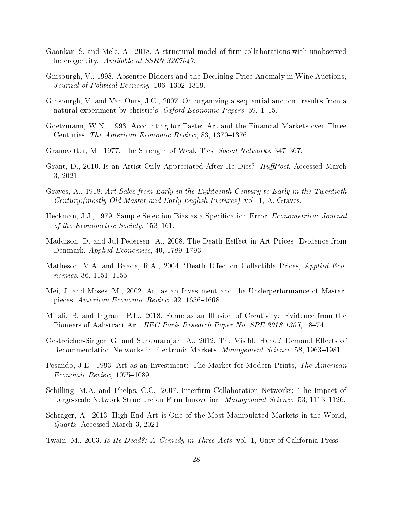- <span id="page-27-9"></span>Gaonkar, S. and Mele, A., 2018. A structural model of firm collaborations with unobserved heterogeneity., Available at SSRN 3267047.
- <span id="page-27-10"></span>Ginsburgh, V., 1998. Absentee Bidders and the Declining Price Anomaly in Wine Auctions, Journal of Political Economy,  $106, 1302-1319$ .
- <span id="page-27-11"></span>Ginsburgh, V. and Van Ours, J.C., 2007. On organizing a sequential auction: results from a natural experiment by christie's, Oxford Economic Papers, 59, 1–15.
- <span id="page-27-16"></span>Goetzmann, W.N., 1993. Accounting for Taste: Art and the Financial Markets over Three Centuries, The American Economic Review, 83, 1370–1376.
- <span id="page-27-7"></span>Granovetter, M., 1977. The Strength of Weak Ties, Social Networks, 347–367.
- <span id="page-27-4"></span>Grant, D., 2010. Is an Artist Only Appreciated After He Dies?, *HuffPost*, Accessed March 3, 2021.
- <span id="page-27-12"></span>Graves, A., 1918. Art Sales from Early in the Eighteenth Century to Early in the Twentieth Century:(mostly Old Master and Early English Pictures), vol. 1, A. Graves.
- <span id="page-27-13"></span>Heckman, J.J., 1979. Sample Selection Bias as a Specification Error, Econometrica: Journal of the Econometric Society,  $153-161$ .
- <span id="page-27-2"></span>Maddison, D. and Jul Pedersen, A., 2008. The Death Eeffect in Art Prices: Evidence from Denmark,  $Applied\ Economics, 40, 1789-1793.$
- <span id="page-27-1"></span>Matheson, V.A. and Baade, R.A., 2004. 'Death Effect'on Collectible Prices, Applied Eco $nonics, 36, 1151 - 1155.$
- <span id="page-27-15"></span>Mei, J. and Moses, M., 2002. Art as an Investment and the Underperformance of Masterpieces, American Economic Review, 92, 1656-1668.
- <span id="page-27-6"></span>Mitali, B. and Ingram, P.L., 2018. Fame as an Illusion of Creativity: Evidence from the Pioneers of Aabstract Art, *HEC Paris Research Paper No. SPE-2018-1305*, 18-74.
- <span id="page-27-5"></span>Oestreicher-Singer, G. and Sundararajan, A., 2012. The Visible Hand? Demand Effects of Recommendation Networks in Electronic Markets, *Management Science*, 58, 1963–1981.
- <span id="page-27-14"></span>Pesando, J.E., 1993. Art as an Investment: The Market for Modern Prints, *The American*  $Economic$   $Review$ , 1075-1089.
- <span id="page-27-8"></span>Schilling, M.A. and Phelps, C.C., 2007. Interfirm Collaboration Networks: The Impact of Large-scale Network Structure on Firm Innovation, *Management Science*, 53, 1113–1126.
- <span id="page-27-3"></span>Schrager, A., 2013. High-End Art is One of the Most Manipulated Markets in the World, Quartz, Accessed March 3, 2021.
- <span id="page-27-0"></span>Twain, M., 2003. Is He Dead?: A Comedy in Three Acts, vol. 1, Univ of California Press.